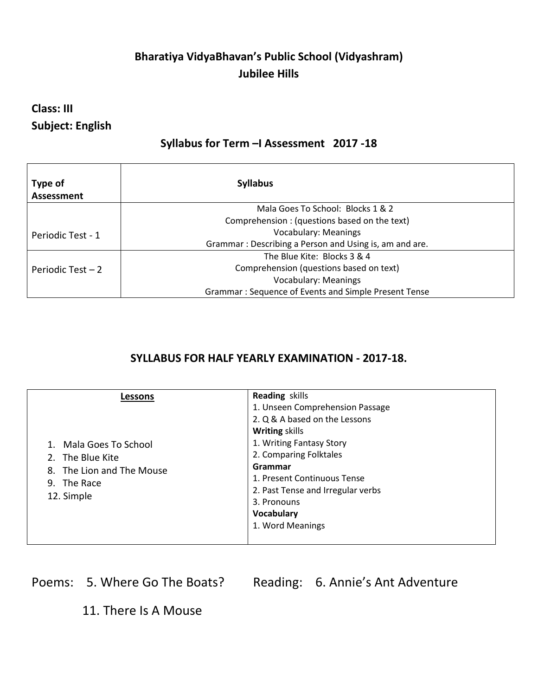## **Bharatiya VidyaBhavan's Public School (Vidyashram) Jubilee Hills**

### **Class: III Subject: English**

### **Syllabus for Term –I Assessment 2017 -18**

| Type of<br>Assessment | <b>Syllabus</b>                                        |
|-----------------------|--------------------------------------------------------|
|                       | Mala Goes To School: Blocks 1 & 2                      |
|                       | Comprehension: (questions based on the text)           |
| Periodic Test - 1     | <b>Vocabulary: Meanings</b>                            |
|                       | Grammar: Describing a Person and Using is, am and are. |
| Periodic Test $-2$    | The Blue Kite: Blocks 3 & 4                            |
|                       | Comprehension (questions based on text)                |
|                       | <b>Vocabulary: Meanings</b>                            |
|                       | Grammar: Sequence of Events and Simple Present Tense   |

#### **SYLLABUS FOR HALF YEARLY EXAMINATION - 2017-18.**

| Lessons<br>1. Mala Goes To School<br>2. The Blue Kite<br>8. The Lion and The Mouse<br>9. The Race<br>12. Simple | <b>Reading skills</b><br>1. Unseen Comprehension Passage<br>2. Q & A based on the Lessons<br><b>Writing skills</b><br>1. Writing Fantasy Story<br>2. Comparing Folktales<br>Grammar<br>1. Present Continuous Tense<br>2. Past Tense and Irregular verbs<br>3. Pronouns<br>Vocabulary<br>1. Word Meanings |  |
|-----------------------------------------------------------------------------------------------------------------|----------------------------------------------------------------------------------------------------------------------------------------------------------------------------------------------------------------------------------------------------------------------------------------------------------|--|
|-----------------------------------------------------------------------------------------------------------------|----------------------------------------------------------------------------------------------------------------------------------------------------------------------------------------------------------------------------------------------------------------------------------------------------------|--|

Poems: 5. Where Go The Boats? Reading: 6. Annie's Ant Adventure

11. There Is A Mouse